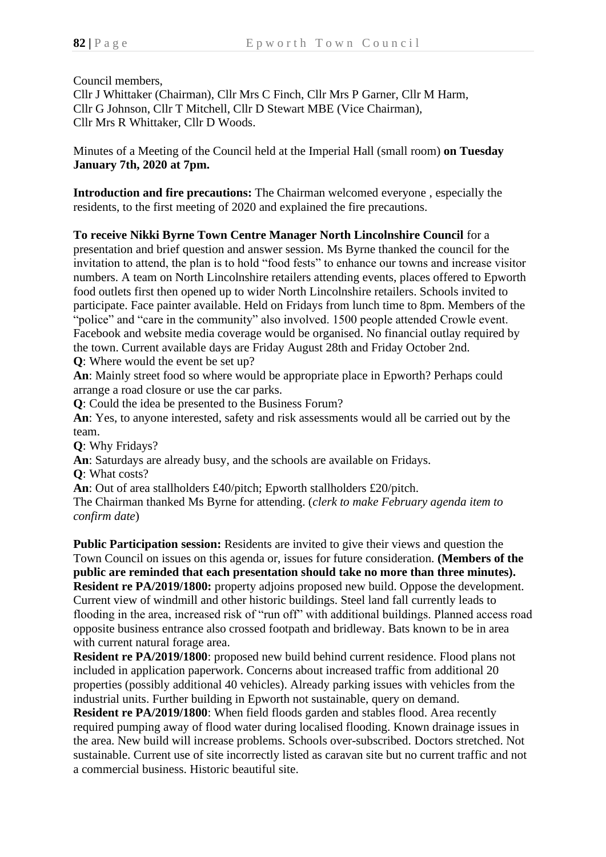Council members,

Cllr J Whittaker (Chairman), Cllr Mrs C Finch, Cllr Mrs P Garner, Cllr M Harm, Cllr G Johnson, Cllr T Mitchell, Cllr D Stewart MBE (Vice Chairman), Cllr Mrs R Whittaker, Cllr D Woods.

Minutes of a Meeting of the Council held at the Imperial Hall (small room) **on Tuesday January 7th, 2020 at 7pm.**

**Introduction and fire precautions:** The Chairman welcomed everyone , especially the residents, to the first meeting of 2020 and explained the fire precautions.

**To receive Nikki Byrne Town Centre Manager North Lincolnshire Council** for a presentation and brief question and answer session. Ms Byrne thanked the council for the invitation to attend, the plan is to hold "food fests" to enhance our towns and increase visitor numbers. A team on North Lincolnshire retailers attending events, places offered to Epworth food outlets first then opened up to wider North Lincolnshire retailers. Schools invited to participate. Face painter available. Held on Fridays from lunch time to 8pm. Members of the "police" and "care in the community" also involved. 1500 people attended Crowle event. Facebook and website media coverage would be organised. No financial outlay required by the town. Current available days are Friday August 28th and Friday October 2nd.

**Q**: Where would the event be set up?

**An**: Mainly street food so where would be appropriate place in Epworth? Perhaps could arrange a road closure or use the car parks.

**Q**: Could the idea be presented to the Business Forum?

**An**: Yes, to anyone interested, safety and risk assessments would all be carried out by the team.

**Q**: Why Fridays?

**An**: Saturdays are already busy, and the schools are available on Fridays.

**Q**: What costs?

**An**: Out of area stallholders £40/pitch; Epworth stallholders £20/pitch.

The Chairman thanked Ms Byrne for attending. (*clerk to make February agenda item to confirm date*)

**Public Participation session:** Residents are invited to give their views and question the Town Council on issues on this agenda or, issues for future consideration. **(Members of the public are reminded that each presentation should take no more than three minutes). Resident re PA/2019/1800:** property adjoins proposed new build. Oppose the development. Current view of windmill and other historic buildings. Steel land fall currently leads to flooding in the area, increased risk of "run off" with additional buildings. Planned access road opposite business entrance also crossed footpath and bridleway. Bats known to be in area with current natural forage area.

**Resident re PA/2019/1800**: proposed new build behind current residence. Flood plans not included in application paperwork. Concerns about increased traffic from additional 20 properties (possibly additional 40 vehicles). Already parking issues with vehicles from the industrial units. Further building in Epworth not sustainable, query on demand.

**Resident re PA/2019/1800**: When field floods garden and stables flood. Area recently required pumping away of flood water during localised flooding. Known drainage issues in the area. New build will increase problems. Schools over-subscribed. Doctors stretched. Not sustainable. Current use of site incorrectly listed as caravan site but no current traffic and not a commercial business. Historic beautiful site.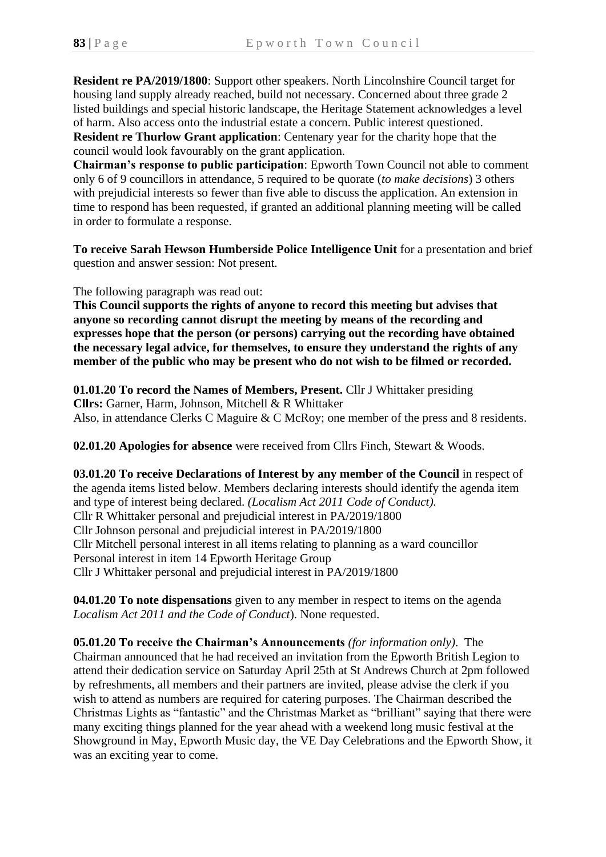**Resident re PA/2019/1800**: Support other speakers. North Lincolnshire Council target for housing land supply already reached, build not necessary. Concerned about three grade 2 listed buildings and special historic landscape, the Heritage Statement acknowledges a level of harm. Also access onto the industrial estate a concern. Public interest questioned.

**Resident re Thurlow Grant application**: Centenary year for the charity hope that the council would look favourably on the grant application.

**Chairman's response to public participation**: Epworth Town Council not able to comment only 6 of 9 councillors in attendance, 5 required to be quorate (*to make decisions*) 3 others with prejudicial interests so fewer than five able to discuss the application. An extension in time to respond has been requested, if granted an additional planning meeting will be called in order to formulate a response.

**To receive Sarah Hewson Humberside Police Intelligence Unit** for a presentation and brief question and answer session: Not present.

The following paragraph was read out:

**This Council supports the rights of anyone to record this meeting but advises that anyone so recording cannot disrupt the meeting by means of the recording and expresses hope that the person (or persons) carrying out the recording have obtained the necessary legal advice, for themselves, to ensure they understand the rights of any member of the public who may be present who do not wish to be filmed or recorded.**

**01.01.20 To record the Names of Members, Present.** Cllr J Whittaker presiding **Cllrs:** Garner, Harm, Johnson, Mitchell & R Whittaker Also, in attendance Clerks C Maguire & C McRoy; one member of the press and 8 residents.

**02.01.20 Apologies for absence** were received from Cllrs Finch, Stewart & Woods.

**03.01.20 To receive Declarations of Interest by any member of the Council** in respect of the agenda items listed below. Members declaring interests should identify the agenda item and type of interest being declared. *(Localism Act 2011 Code of Conduct).* Cllr R Whittaker personal and prejudicial interest in PA/2019/1800 Cllr Johnson personal and prejudicial interest in PA/2019/1800 Cllr Mitchell personal interest in all items relating to planning as a ward councillor Personal interest in item 14 Epworth Heritage Group Cllr J Whittaker personal and prejudicial interest in PA/2019/1800

**04.01.20 To note dispensations** given to any member in respect to items on the agenda *Localism Act 2011 and the Code of Conduct*). None requested.

**05.01.20 To receive the Chairman's Announcements** *(for information only)*. The Chairman announced that he had received an invitation from the Epworth British Legion to attend their dedication service on Saturday April 25th at St Andrews Church at 2pm followed by refreshments, all members and their partners are invited, please advise the clerk if you wish to attend as numbers are required for catering purposes. The Chairman described the Christmas Lights as "fantastic" and the Christmas Market as "brilliant" saying that there were many exciting things planned for the year ahead with a weekend long music festival at the Showground in May, Epworth Music day, the VE Day Celebrations and the Epworth Show, it was an exciting year to come.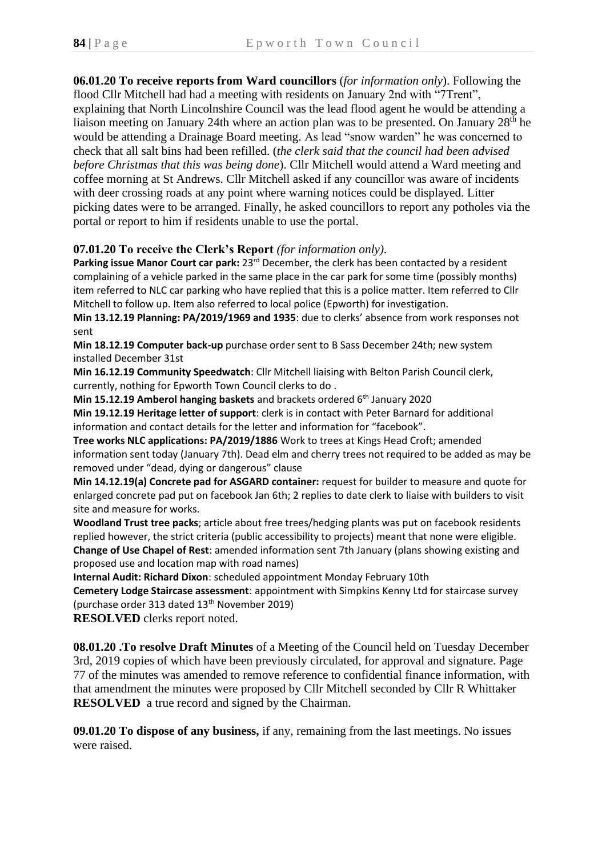**06.01.20 To receive reports from Ward councillors** (*for information only*). Following the flood Cllr Mitchell had had a meeting with residents on January 2nd with "7Trent", explaining that North Lincolnshire Council was the lead flood agent he would be attending a liaison meeting on January 24th where an action plan was to be presented. On January 28th he would be attending a Drainage Board meeting. As lead "snow warden" he was concerned to check that all salt bins had been refilled. (*the clerk said that the council had been advised before Christmas that this was being done*). Cllr Mitchell would attend a Ward meeting and coffee morning at St Andrews. Cllr Mitchell asked if any councillor was aware of incidents with deer crossing roads at any point where warning notices could be displayed. Litter picking dates were to be arranged. Finally, he asked councillors to report any potholes via the portal or report to him if residents unable to use the portal.

# **07.01.20 To receive the Clerk's Report** *(for information only).*

Parking issue Manor Court car park: 23<sup>rd</sup> December, the clerk has been contacted by a resident complaining of a vehicle parked in the same place in the car park for some time (possibly months) item referred to NLC car parking who have replied that this is a police matter. Item referred to Cllr Mitchell to follow up. Item also referred to local police (Epworth) for investigation.

**Min 13.12.19 Planning: PA/2019/1969 and 1935**: due to clerks' absence from work responses not sent

**Min 18.12.19 Computer back-up** purchase order sent to B Sass December 24th; new system installed December 31st

**Min 16.12.19 Community Speedwatch**: Cllr Mitchell liaising with Belton Parish Council clerk, currently, nothing for Epworth Town Council clerks to do .

**Min 15.12.19 Amberol hanging baskets** and brackets ordered 6<sup>th</sup> January 2020

**Min 19.12.19 Heritage letter of support**: clerk is in contact with Peter Barnard for additional information and contact details for the letter and information for "facebook".

**Tree works NLC applications: PA/2019/1886** Work to trees at Kings Head Croft; amended information sent today (January 7th). Dead elm and cherry trees not required to be added as may be removed under "dead, dying or dangerous" clause

**Min 14.12.19(a) Concrete pad for ASGARD container:** request for builder to measure and quote for enlarged concrete pad put on facebook Jan 6th; 2 replies to date clerk to liaise with builders to visit site and measure for works.

**Woodland Trust tree packs**; article about free trees/hedging plants was put on facebook residents replied however, the strict criteria (public accessibility to projects) meant that none were eligible. **Change of Use Chapel of Rest**: amended information sent 7th January (plans showing existing and proposed use and location map with road names)

**Internal Audit: Richard Dixon**: scheduled appointment Monday February 10th

**Cemetery Lodge Staircase assessment**: appointment with Simpkins Kenny Ltd for staircase survey (purchase order 313 dated 13th November 2019)

**RESOLVED** clerks report noted.

**08.01.20 .To resolve Draft Minutes** of a Meeting of the Council held on Tuesday December 3rd, 2019 copies of which have been previously circulated, for approval and signature. Page 77 of the minutes was amended to remove reference to confidential finance information, with that amendment the minutes were proposed by Cllr Mitchell seconded by Cllr R Whittaker **RESOLVED** a true record and signed by the Chairman.

**09.01.20 To dispose of any business,** if any, remaining from the last meetings. No issues were raised.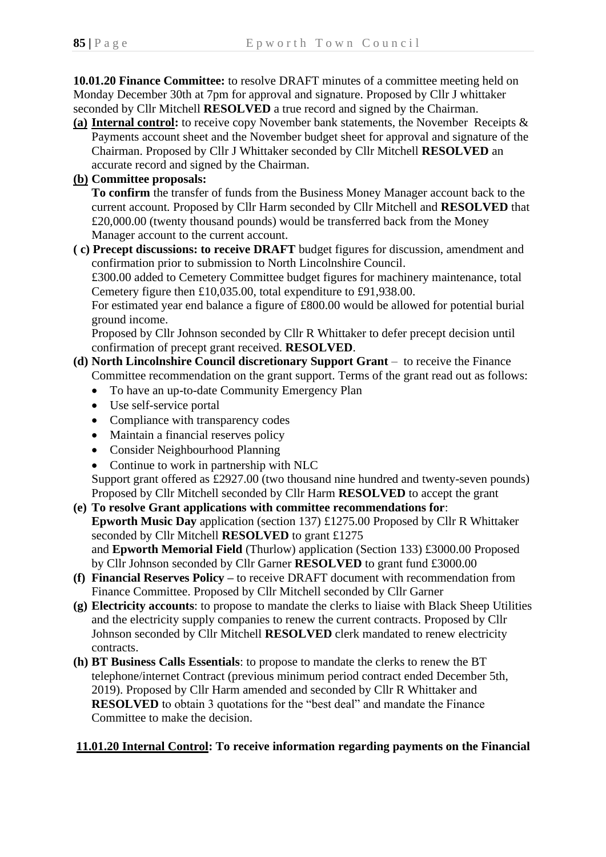**10.01.20 Finance Committee:** to resolve DRAFT minutes of a committee meeting held on Monday December 30th at 7pm for approval and signature. Proposed by Cllr J whittaker seconded by Cllr Mitchell **RESOLVED** a true record and signed by the Chairman.

- **(a) Internal control:** to receive copy November bank statements, the November Receipts & Payments account sheet and the November budget sheet for approval and signature of the Chairman. Proposed by Cllr J Whittaker seconded by Cllr Mitchell **RESOLVED** an accurate record and signed by the Chairman.
- **(b) Committee proposals:**

**To confirm** the transfer of funds from the Business Money Manager account back to the current account*.* Proposed by Cllr Harm seconded by Cllr Mitchell and **RESOLVED** that £20,000.00 (twenty thousand pounds) would be transferred back from the Money Manager account to the current account.

**( c) Precept discussions: to receive DRAFT** budget figures for discussion, amendment and confirmation prior to submission to North Lincolnshire Council.

 £300.00 added to Cemetery Committee budget figures for machinery maintenance, total Cemetery figure then £10,035.00, total expenditure to £91,938.00.

 For estimated year end balance a figure of £800.00 would be allowed for potential burial ground income.

 Proposed by Cllr Johnson seconded by Cllr R Whittaker to defer precept decision until confirmation of precept grant received. **RESOLVED**.

# **(d) North Lincolnshire Council discretionary Support Grant** – to receive the Finance Committee recommendation on the grant support. Terms of the grant read out as follows:

- To have an up-to-date Community Emergency Plan
- Use self-service portal
- Compliance with transparency codes
- Maintain a financial reserves policy
- Consider Neighbourhood Planning
- Continue to work in partnership with NLC

Support grant offered as £2927.00 (two thousand nine hundred and twenty-seven pounds) Proposed by Cllr Mitchell seconded by Cllr Harm **RESOLVED** to accept the grant

# **(e) To resolve Grant applications with committee recommendations for**:  **Epworth Music Day** application (section 137) £1275.00 Proposed by Cllr R Whittaker seconded by Cllr Mitchell **RESOLVED** to grant £1275 and **Epworth Memorial Field** (Thurlow) application (Section 133) £3000.00 Proposed by Cllr Johnson seconded by Cllr Garner **RESOLVED** to grant fund £3000.00

- **(f) Financial Reserves Policy –** to receive DRAFT document with recommendation from Finance Committee. Proposed by Cllr Mitchell seconded by Cllr Garner
- **(g) Electricity accounts**: to propose to mandate the clerks to liaise with Black Sheep Utilities and the electricity supply companies to renew the current contracts. Proposed by Cllr Johnson seconded by Cllr Mitchell **RESOLVED** clerk mandated to renew electricity contracts.
- **(h) BT Business Calls Essentials**: to propose to mandate the clerks to renew the BT telephone/internet Contract (previous minimum period contract ended December 5th, 2019). Proposed by Cllr Harm amended and seconded by Cllr R Whittaker and **RESOLVED** to obtain 3 quotations for the "best deal" and mandate the Finance Committee to make the decision.

# **11.01.20 Internal Control: To receive information regarding payments on the Financial**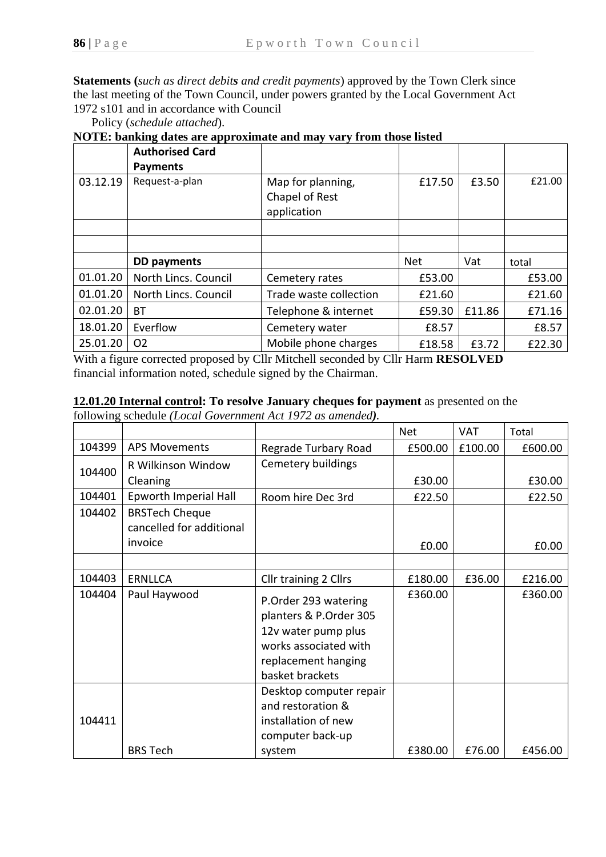**Statements (***such as direct debits and credit payments*) approved by the Town Clerk since the last meeting of the Town Council, under powers granted by the Local Government Act 1972 s101 and in accordance with Council

Policy (*schedule attached*).

**NOTE: banking dates are approximate and may vary from those listed**

|          | <b>Authorised Card</b><br><b>Payments</b> |                                                    |            |        |        |
|----------|-------------------------------------------|----------------------------------------------------|------------|--------|--------|
| 03.12.19 | Request-a-plan                            | Map for planning,<br>Chapel of Rest<br>application | £17.50     | £3.50  | £21.00 |
|          |                                           |                                                    |            |        |        |
|          |                                           |                                                    |            |        |        |
|          | <b>DD payments</b>                        |                                                    | <b>Net</b> | Vat    | total  |
| 01.01.20 | North Lincs. Council                      | Cemetery rates                                     | £53.00     |        | £53.00 |
| 01.01.20 | North Lincs. Council                      | Trade waste collection                             | £21.60     |        | £21.60 |
| 02.01.20 | <b>BT</b>                                 | Telephone & internet                               | £59.30     | £11.86 | £71.16 |
| 18.01.20 | Everflow                                  | Cemetery water                                     | £8.57      |        | £8.57  |
| 25.01.20 | O <sub>2</sub>                            | Mobile phone charges                               | £18.58     | £3.72  | £22.30 |

With a figure corrected proposed by Cllr Mitchell seconded by Cllr Harm **RESOLVED** financial information noted, schedule signed by the Chairman.

# **12.01.20 Internal control: To resolve January cheques for payment** as presented on the

following schedule *(Local Government Act 1972 as amended).*

|        |                          |                         | <b>Net</b> | <b>VAT</b> | Total   |
|--------|--------------------------|-------------------------|------------|------------|---------|
| 104399 | <b>APS Movements</b>     | Regrade Turbary Road    | £500.00    | £100.00    | £600.00 |
| 104400 | R Wilkinson Window       | Cemetery buildings      |            |            |         |
|        | Cleaning                 |                         | £30.00     |            | £30.00  |
| 104401 | Epworth Imperial Hall    | Room hire Dec 3rd       | £22.50     |            | £22.50  |
| 104402 | <b>BRSTech Cheque</b>    |                         |            |            |         |
|        | cancelled for additional |                         |            |            |         |
|        | invoice                  |                         | £0.00      |            | £0.00   |
|        |                          |                         |            |            |         |
| 104403 | <b>ERNLLCA</b>           | Cllr training 2 Cllrs   | £180.00    | £36.00     | £216.00 |
| 104404 | Paul Haywood             | P.Order 293 watering    | £360.00    |            | £360.00 |
|        |                          | planters & P.Order 305  |            |            |         |
|        |                          | 12v water pump plus     |            |            |         |
|        |                          | works associated with   |            |            |         |
|        |                          | replacement hanging     |            |            |         |
|        |                          | basket brackets         |            |            |         |
|        |                          | Desktop computer repair |            |            |         |
|        |                          | and restoration &       |            |            |         |
| 104411 |                          | installation of new     |            |            |         |
|        |                          | computer back-up        |            |            |         |
|        | <b>BRS Tech</b>          | system                  | £380.00    | £76.00     | £456.00 |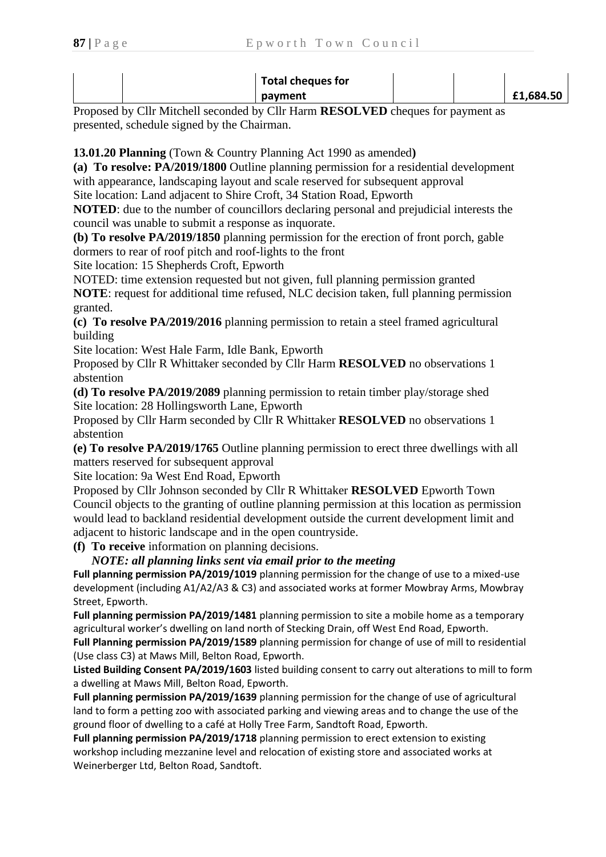| <b>Total cheques for</b> |           |
|--------------------------|-----------|
| payment                  | £1,684.50 |

Proposed by Cllr Mitchell seconded by Cllr Harm **RESOLVED** cheques for payment as presented, schedule signed by the Chairman.

**13.01.20 Planning** (Town & Country Planning Act 1990 as amended**)**

**(a) To resolve: PA/2019/1800** Outline planning permission for a residential development with appearance, landscaping layout and scale reserved for subsequent approval Site location: Land adjacent to Shire Croft, 34 Station Road, Epworth

**NOTED**: due to the number of councillors declaring personal and prejudicial interests the council was unable to submit a response as inquorate.

**(b) To resolve PA/2019/1850** planning permission for the erection of front porch, gable dormers to rear of roof pitch and roof-lights to the front

Site location: 15 Shepherds Croft, Epworth

NOTED: time extension requested but not given, full planning permission granted **NOTE**: request for additional time refused, NLC decision taken, full planning permission granted.

**(c) To resolve PA/2019/2016** planning permission to retain a steel framed agricultural building

Site location: West Hale Farm, Idle Bank, Epworth

Proposed by Cllr R Whittaker seconded by Cllr Harm **RESOLVED** no observations 1 abstention

**(d) To resolve PA/2019/2089** planning permission to retain timber play/storage shed Site location: 28 Hollingsworth Lane, Epworth

Proposed by Cllr Harm seconded by Cllr R Whittaker **RESOLVED** no observations 1 abstention

**(e) To resolve PA/2019/1765** Outline planning permission to erect three dwellings with all matters reserved for subsequent approval

Site location: 9a West End Road, Epworth

Proposed by Cllr Johnson seconded by Cllr R Whittaker **RESOLVED** Epworth Town Council objects to the granting of outline planning permission at this location as permission would lead to backland residential development outside the current development limit and adjacent to historic landscape and in the open countryside.

**(f) To receive** information on planning decisions.

 *NOTE: all planning links sent via email prior to the meeting*

**Full planning permission PA/2019/1019** planning permission for the change of use to a mixed-use development (including A1/A2/A3 & C3) and associated works at former Mowbray Arms, Mowbray Street, Epworth.

**Full planning permission PA/2019/1481** planning permission to site a mobile home as a temporary agricultural worker's dwelling on land north of Stecking Drain, off West End Road, Epworth.

**Full Planning permission PA/2019/1589** planning permission for change of use of mill to residential (Use class C3) at Maws Mill, Belton Road, Epworth.

**Listed Building Consent PA/2019/1603** listed building consent to carry out alterations to mill to form a dwelling at Maws Mill, Belton Road, Epworth.

**Full planning permission PA/2019/1639** planning permission for the change of use of agricultural land to form a petting zoo with associated parking and viewing areas and to change the use of the ground floor of dwelling to a café at Holly Tree Farm, Sandtoft Road, Epworth.

**Full planning permission PA/2019/1718** planning permission to erect extension to existing workshop including mezzanine level and relocation of existing store and associated works at Weinerberger Ltd, Belton Road, Sandtoft.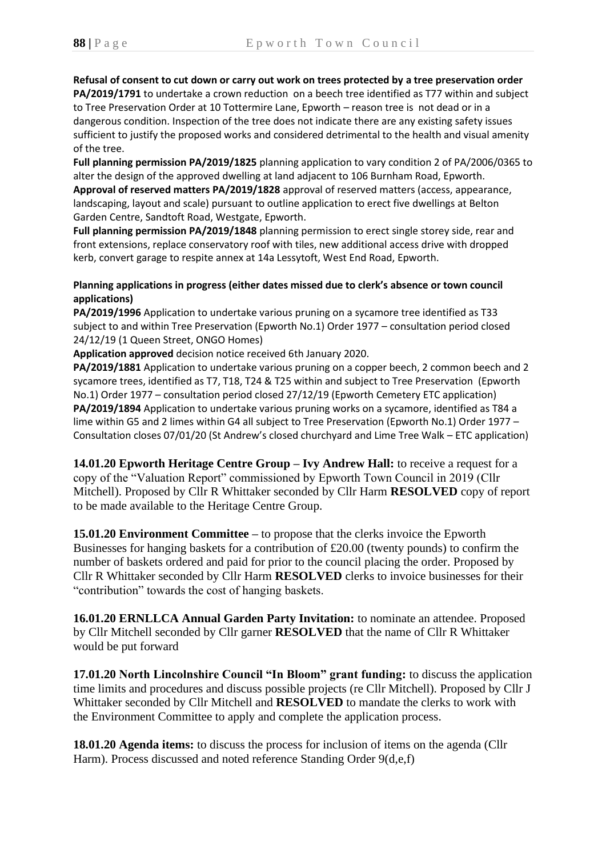**Refusal of consent to cut down or carry out work on trees protected by a tree preservation order PA/2019/1791** to undertake a crown reduction on a beech tree identified as T77 within and subject to Tree Preservation Order at 10 Tottermire Lane, Epworth – reason tree is not dead or in a dangerous condition. Inspection of the tree does not indicate there are any existing safety issues sufficient to justify the proposed works and considered detrimental to the health and visual amenity of the tree.

**Full planning permission PA/2019/1825** planning application to vary condition 2 of PA/2006/0365 to alter the design of the approved dwelling at land adjacent to 106 Burnham Road, Epworth. **Approval of reserved matters PA/2019/1828** approval of reserved matters (access, appearance, landscaping, layout and scale) pursuant to outline application to erect five dwellings at Belton Garden Centre, Sandtoft Road, Westgate, Epworth.

**Full planning permission PA/2019/1848** planning permission to erect single storey side, rear and front extensions, replace conservatory roof with tiles, new additional access drive with dropped kerb, convert garage to respite annex at 14a Lessytoft, West End Road, Epworth.

#### **Planning applications in progress (either dates missed due to clerk's absence or town council applications)**

**PA/2019/1996** Application to undertake various pruning on a sycamore tree identified as T33 subject to and within Tree Preservation (Epworth No.1) Order 1977 – consultation period closed 24/12/19 (1 Queen Street, ONGO Homes)

**Application approved** decision notice received 6th January 2020.

**PA/2019/1881** Application to undertake various pruning on a copper beech, 2 common beech and 2 sycamore trees, identified as T7, T18, T24 & T25 within and subject to Tree Preservation (Epworth No.1) Order 1977 – consultation period closed 27/12/19 (Epworth Cemetery ETC application) **PA/2019/1894** Application to undertake various pruning works on a sycamore, identified as T84 a lime within G5 and 2 limes within G4 all subject to Tree Preservation (Epworth No.1) Order 1977 – Consultation closes 07/01/20 (St Andrew's closed churchyard and Lime Tree Walk – ETC application)

**14.01.20 Epworth Heritage Centre Group – Ivy Andrew Hall:** to receive a request for a copy of the "Valuation Report" commissioned by Epworth Town Council in 2019 (Cllr Mitchell). Proposed by Cllr R Whittaker seconded by Cllr Harm **RESOLVED** copy of report to be made available to the Heritage Centre Group.

**15.01.20 Environment Committee –** to propose that the clerks invoice the Epworth Businesses for hanging baskets for a contribution of £20.00 (twenty pounds) to confirm the number of baskets ordered and paid for prior to the council placing the order. Proposed by Cllr R Whittaker seconded by Cllr Harm **RESOLVED** clerks to invoice businesses for their "contribution" towards the cost of hanging baskets.

**16.01.20 ERNLLCA Annual Garden Party Invitation:** to nominate an attendee. Proposed by Cllr Mitchell seconded by Cllr garner **RESOLVED** that the name of Cllr R Whittaker would be put forward

**17.01.20 North Lincolnshire Council "In Bloom" grant funding:** to discuss the application time limits and procedures and discuss possible projects (re Cllr Mitchell). Proposed by Cllr J Whittaker seconded by Cllr Mitchell and **RESOLVED** to mandate the clerks to work with the Environment Committee to apply and complete the application process.

**18.01.20 Agenda items:** to discuss the process for inclusion of items on the agenda (Cllr Harm). Process discussed and noted reference Standing Order 9(d,e,f)